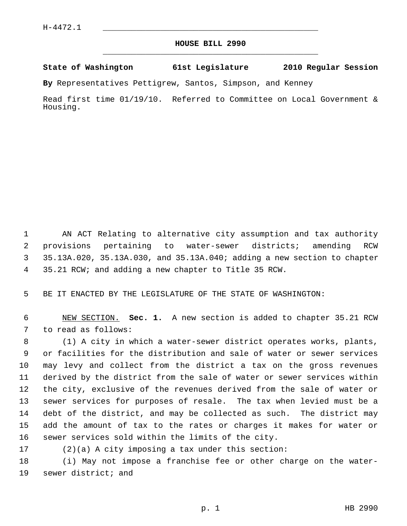## **HOUSE BILL 2990** \_\_\_\_\_\_\_\_\_\_\_\_\_\_\_\_\_\_\_\_\_\_\_\_\_\_\_\_\_\_\_\_\_\_\_\_\_\_\_\_\_\_\_\_\_

## **State of Washington 61st Legislature 2010 Regular Session**

**By** Representatives Pettigrew, Santos, Simpson, and Kenney

Read first time 01/19/10. Referred to Committee on Local Government & Housing.

 1 AN ACT Relating to alternative city assumption and tax authority 2 provisions pertaining to water-sewer districts; amending RCW 3 35.13A.020, 35.13A.030, and 35.13A.040; adding a new section to chapter 4 35.21 RCW; and adding a new chapter to Title 35 RCW.

5 BE IT ENACTED BY THE LEGISLATURE OF THE STATE OF WASHINGTON:

 6 NEW SECTION. **Sec. 1.** A new section is added to chapter 35.21 RCW 7 to read as follows:

 8 (1) A city in which a water-sewer district operates works, plants, 9 or facilities for the distribution and sale of water or sewer services 10 may levy and collect from the district a tax on the gross revenues 11 derived by the district from the sale of water or sewer services within 12 the city, exclusive of the revenues derived from the sale of water or 13 sewer services for purposes of resale. The tax when levied must be a 14 debt of the district, and may be collected as such. The district may 15 add the amount of tax to the rates or charges it makes for water or 16 sewer services sold within the limits of the city.

17 (2)(a) A city imposing a tax under this section:

18 (i) May not impose a franchise fee or other charge on the water-19 sewer district; and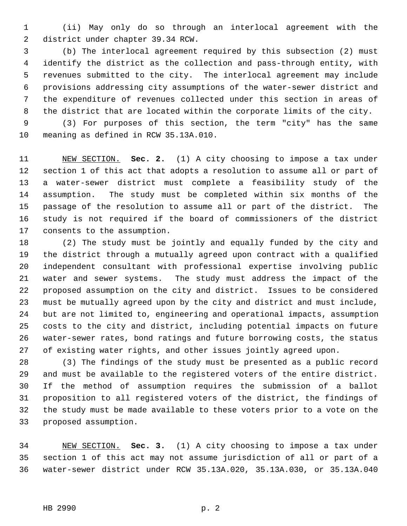1 (ii) May only do so through an interlocal agreement with the 2 district under chapter 39.34 RCW.

 3 (b) The interlocal agreement required by this subsection (2) must 4 identify the district as the collection and pass-through entity, with 5 revenues submitted to the city. The interlocal agreement may include 6 provisions addressing city assumptions of the water-sewer district and 7 the expenditure of revenues collected under this section in areas of 8 the district that are located within the corporate limits of the city.

 9 (3) For purposes of this section, the term "city" has the same 10 meaning as defined in RCW 35.13A.010.

11 NEW SECTION. **Sec. 2.** (1) A city choosing to impose a tax under 12 section 1 of this act that adopts a resolution to assume all or part of 13 a water-sewer district must complete a feasibility study of the 14 assumption. The study must be completed within six months of the 15 passage of the resolution to assume all or part of the district. The 16 study is not required if the board of commissioners of the district 17 consents to the assumption.

18 (2) The study must be jointly and equally funded by the city and 19 the district through a mutually agreed upon contract with a qualified 20 independent consultant with professional expertise involving public 21 water and sewer systems. The study must address the impact of the 22 proposed assumption on the city and district. Issues to be considered 23 must be mutually agreed upon by the city and district and must include, 24 but are not limited to, engineering and operational impacts, assumption 25 costs to the city and district, including potential impacts on future 26 water-sewer rates, bond ratings and future borrowing costs, the status 27 of existing water rights, and other issues jointly agreed upon.

28 (3) The findings of the study must be presented as a public record 29 and must be available to the registered voters of the entire district. 30 If the method of assumption requires the submission of a ballot 31 proposition to all registered voters of the district, the findings of 32 the study must be made available to these voters prior to a vote on the 33 proposed assumption.

34 NEW SECTION. **Sec. 3.** (1) A city choosing to impose a tax under 35 section 1 of this act may not assume jurisdiction of all or part of a 36 water-sewer district under RCW 35.13A.020, 35.13A.030, or 35.13A.040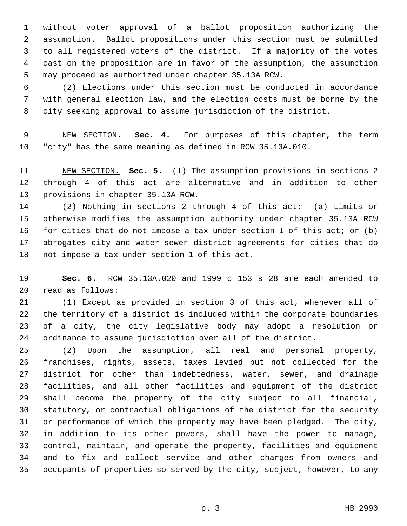1 without voter approval of a ballot proposition authorizing the 2 assumption. Ballot propositions under this section must be submitted 3 to all registered voters of the district. If a majority of the votes 4 cast on the proposition are in favor of the assumption, the assumption 5 may proceed as authorized under chapter 35.13A RCW.

 6 (2) Elections under this section must be conducted in accordance 7 with general election law, and the election costs must be borne by the 8 city seeking approval to assume jurisdiction of the district.

 9 NEW SECTION. **Sec. 4.** For purposes of this chapter, the term 10 "city" has the same meaning as defined in RCW 35.13A.010.

11 NEW SECTION. **Sec. 5.** (1) The assumption provisions in sections 2 12 through 4 of this act are alternative and in addition to other 13 provisions in chapter 35.13A RCW.

14 (2) Nothing in sections 2 through 4 of this act: (a) Limits or 15 otherwise modifies the assumption authority under chapter 35.13A RCW 16 for cities that do not impose a tax under section 1 of this act; or (b) 17 abrogates city and water-sewer district agreements for cities that do 18 not impose a tax under section 1 of this act.

19 **Sec. 6.** RCW 35.13A.020 and 1999 c 153 s 28 are each amended to 20 read as follows:

21 (1) Except as provided in section 3 of this act, whenever all of 22 the territory of a district is included within the corporate boundaries 23 of a city, the city legislative body may adopt a resolution or 24 ordinance to assume jurisdiction over all of the district.

25 (2) Upon the assumption, all real and personal property, 26 franchises, rights, assets, taxes levied but not collected for the 27 district for other than indebtedness, water, sewer, and drainage 28 facilities, and all other facilities and equipment of the district 29 shall become the property of the city subject to all financial, 30 statutory, or contractual obligations of the district for the security 31 or performance of which the property may have been pledged. The city, 32 in addition to its other powers, shall have the power to manage, 33 control, maintain, and operate the property, facilities and equipment 34 and to fix and collect service and other charges from owners and 35 occupants of properties so served by the city, subject, however, to any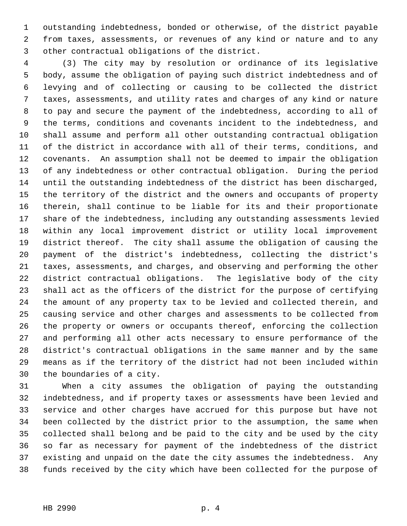1 outstanding indebtedness, bonded or otherwise, of the district payable 2 from taxes, assessments, or revenues of any kind or nature and to any 3 other contractual obligations of the district.

 4 (3) The city may by resolution or ordinance of its legislative 5 body, assume the obligation of paying such district indebtedness and of 6 levying and of collecting or causing to be collected the district 7 taxes, assessments, and utility rates and charges of any kind or nature 8 to pay and secure the payment of the indebtedness, according to all of 9 the terms, conditions and covenants incident to the indebtedness, and 10 shall assume and perform all other outstanding contractual obligation 11 of the district in accordance with all of their terms, conditions, and 12 covenants. An assumption shall not be deemed to impair the obligation 13 of any indebtedness or other contractual obligation. During the period 14 until the outstanding indebtedness of the district has been discharged, 15 the territory of the district and the owners and occupants of property 16 therein, shall continue to be liable for its and their proportionate 17 share of the indebtedness, including any outstanding assessments levied 18 within any local improvement district or utility local improvement 19 district thereof. The city shall assume the obligation of causing the 20 payment of the district's indebtedness, collecting the district's 21 taxes, assessments, and charges, and observing and performing the other 22 district contractual obligations. The legislative body of the city 23 shall act as the officers of the district for the purpose of certifying 24 the amount of any property tax to be levied and collected therein, and 25 causing service and other charges and assessments to be collected from 26 the property or owners or occupants thereof, enforcing the collection 27 and performing all other acts necessary to ensure performance of the 28 district's contractual obligations in the same manner and by the same 29 means as if the territory of the district had not been included within 30 the boundaries of a city.

31 When a city assumes the obligation of paying the outstanding 32 indebtedness, and if property taxes or assessments have been levied and 33 service and other charges have accrued for this purpose but have not 34 been collected by the district prior to the assumption, the same when 35 collected shall belong and be paid to the city and be used by the city 36 so far as necessary for payment of the indebtedness of the district 37 existing and unpaid on the date the city assumes the indebtedness. Any 38 funds received by the city which have been collected for the purpose of